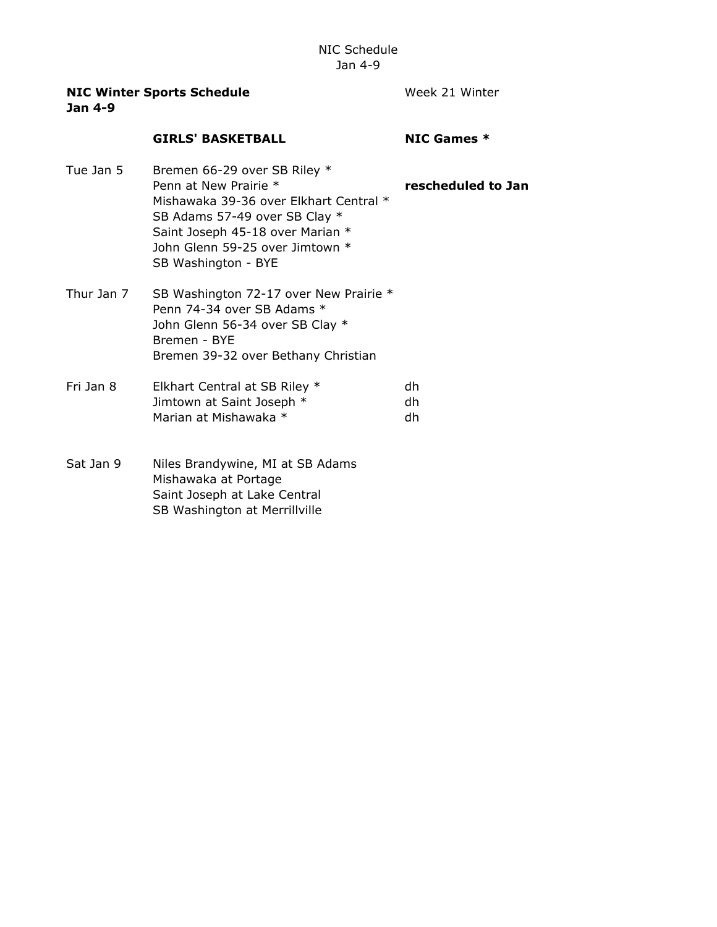| <b>NIC Winter Sports Schedule</b><br><b>Jan 4-9</b> |                                                                                                                                                                                                                                | Week 21 Winter     |
|-----------------------------------------------------|--------------------------------------------------------------------------------------------------------------------------------------------------------------------------------------------------------------------------------|--------------------|
|                                                     | <b>GIRLS' BASKETBALL</b>                                                                                                                                                                                                       | NIC Games $*$      |
| Tue Jan 5                                           | Bremen 66-29 over SB Riley *<br>Penn at New Prairie *<br>Mishawaka 39-36 over Elkhart Central *<br>SB Adams 57-49 over SB Clay *<br>Saint Joseph 45-18 over Marian *<br>John Glenn 59-25 over Jimtown *<br>SB Washington - BYE | rescheduled to Jan |
| Thur Jan 7                                          | SB Washington 72-17 over New Prairie *<br>Penn 74-34 over SB Adams *<br>John Glenn 56-34 over SB Clay *<br>Bremen - BYE<br>Bremen 39-32 over Bethany Christian                                                                 |                    |
| Fri Jan 8                                           | Elkhart Central at SB Riley *<br>Jimtown at Saint Joseph *<br>Marian at Mishawaka *                                                                                                                                            | dh<br>dh<br>dh     |
| Sat Jan 9                                           | Niles Brandywine, MI at SB Adams<br>Mishawaka at Portage<br>Saint Joseph at Lake Central<br>SB Washington at Merrillville                                                                                                      |                    |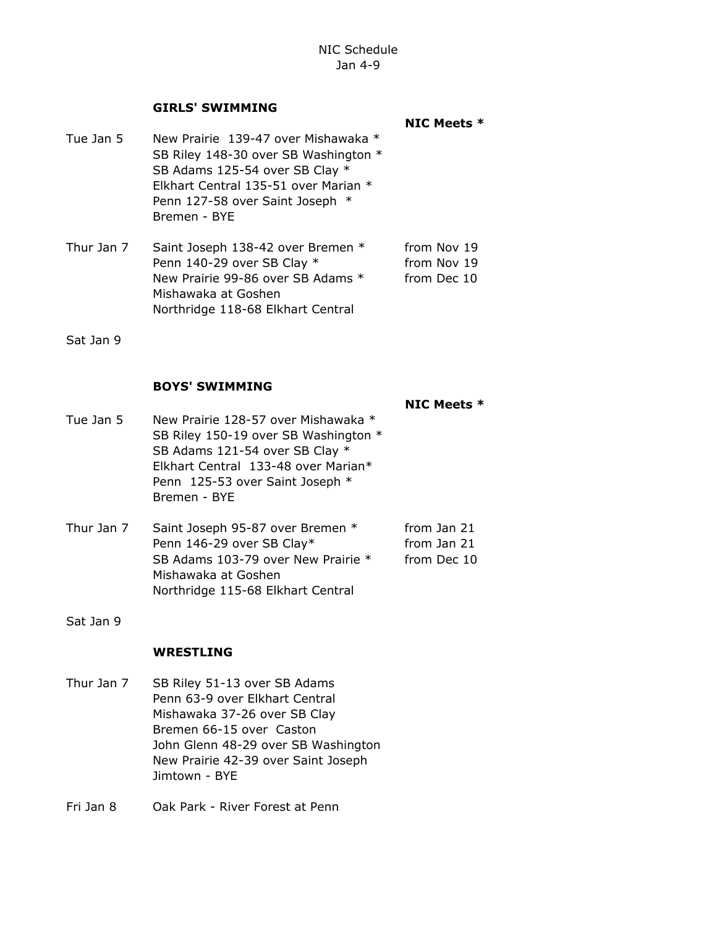## GIRLS' SWIMMING

- NIC Meets \* Tue Jan 5 New Prairie 139-47 over Mishawaka \* SB Riley 148-30 over SB Washington \* SB Adams 125-54 over SB Clay \* Elkhart Central 135-51 over Marian \* Penn 127-58 over Saint Joseph \* Bremen - BYE
- Thur Jan 7 Saint Joseph 138-42 over Bremen \* from Nov 19 Penn 140-29 over SB Clay \* from Nov 19 New Prairie 99-86 over SB Adams \* from Dec 10 Mishawaka at Goshen Northridge 118-68 Elkhart Central

Sat Jan 9

## BOYS' SWIMMING

NIC Meets \*

- Tue Jan 5 New Prairie 128-57 over Mishawaka \* SB Riley 150-19 over SB Washington \* SB Adams 121-54 over SB Clay \* Elkhart Central 133-48 over Marian\* Penn 125-53 over Saint Joseph \* Bremen - BYE
- Thur Jan 7 Saint Joseph 95-87 over Bremen \* from Jan 21 Penn 146-29 over SB Clay\* from Jan 21 SB Adams 103-79 over New Prairie \* from Dec 10 Mishawaka at Goshen Northridge 115-68 Elkhart Central
- Sat Jan 9

## WRESTLING

- Thur Jan 7 SB Riley 51-13 over SB Adams Penn 63-9 over Elkhart Central Mishawaka 37-26 over SB Clay Bremen 66-15 over Caston John Glenn 48-29 over SB Washington New Prairie 42-39 over Saint Joseph Jimtown - BYE
- Fri Jan 8 Oak Park River Forest at Penn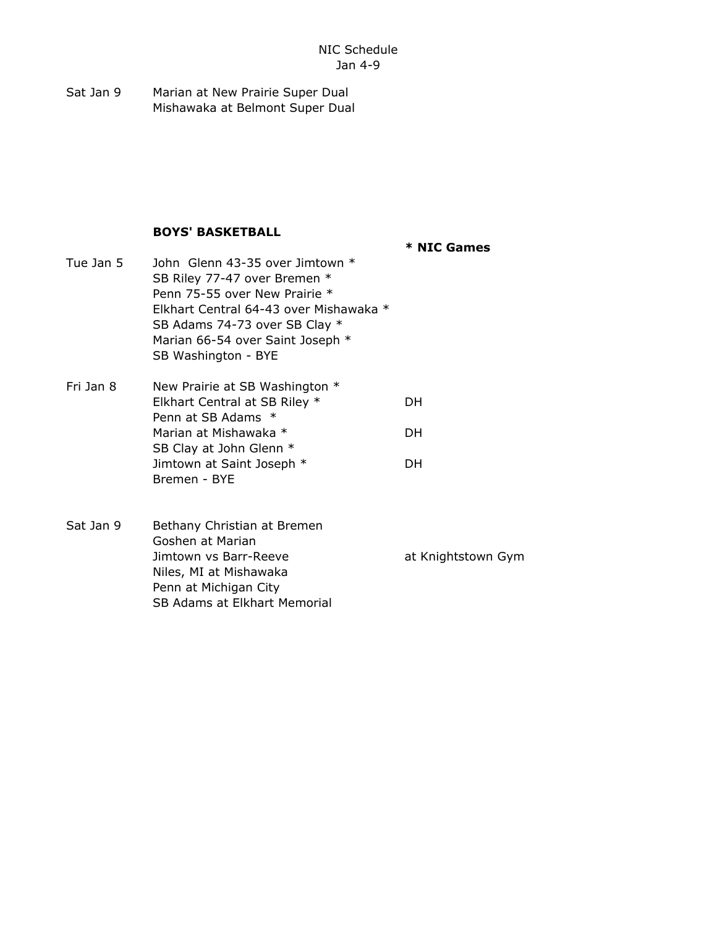Sat Jan 9 Marian at New Prairie Super Dual Mishawaka at Belmont Super Dual

## BOYS' BASKETBALL

Bremen - BYE

\* NIC Games

- Tue Jan 5 John Glenn 43-35 over Jimtown \* SB Riley 77-47 over Bremen \* Penn 75-55 over New Prairie \* Elkhart Central 64-43 over Mishawaka \* SB Adams 74-73 over SB Clay  $*$ Marian 66-54 over Saint Joseph \* SB Washington - BYE Fri Jan 8 New Prairie at SB Washington \* Elkhart Central at SB Riley \* DH Penn at SB Adams \* Marian at Mishawaka \* The DH SB Clay at John Glenn \* Jimtown at Saint Joseph \* The DH
- Sat Jan 9 Bethany Christian at Bremen Goshen at Marian Jimtown vs Barr-Reeve at Knightstown Gym Niles, MI at Mishawaka Penn at Michigan City SB Adams at Elkhart Memorial